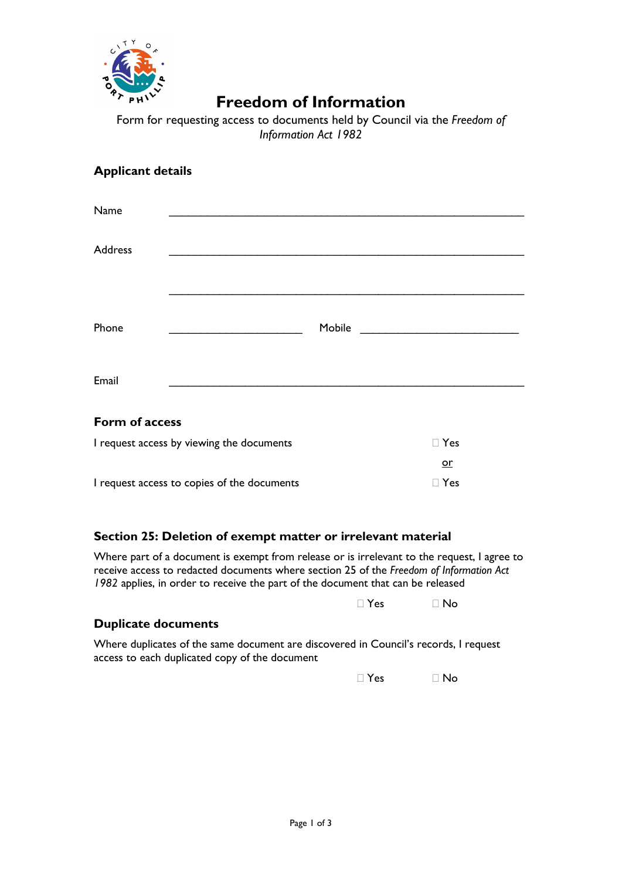

## **Freedom of Information**

Form for requesting access to documents held by Council via the *Freedom of Information Act 1982*

### **Applicant details**

| Name           |                                                           |  |
|----------------|-----------------------------------------------------------|--|
| Address        |                                                           |  |
|                |                                                           |  |
| Phone          | Mobile<br><u> 1990 - Jan Barbara Barat, prima politik</u> |  |
| Email          |                                                           |  |
| Form of access |                                                           |  |

| I request access by viewing the documents   | $\Box$ Yes |
|---------------------------------------------|------------|
|                                             | or         |
| I request access to copies of the documents | $\Box$ Yes |

### **Section 25: Deletion of exempt matter or irrelevant material**

Where part of a document is exempt from release or is irrelevant to the request, I agree to receive access to redacted documents where section 25 of the *Freedom of Information Act 1982* applies, in order to receive the part of the document that can be released

 $\Box$  Yes  $\Box$  No

#### **Duplicate documents**

Where duplicates of the same document are discovered in Council's records, I request access to each duplicated copy of the document

 $\Box$  Yes  $\Box$  No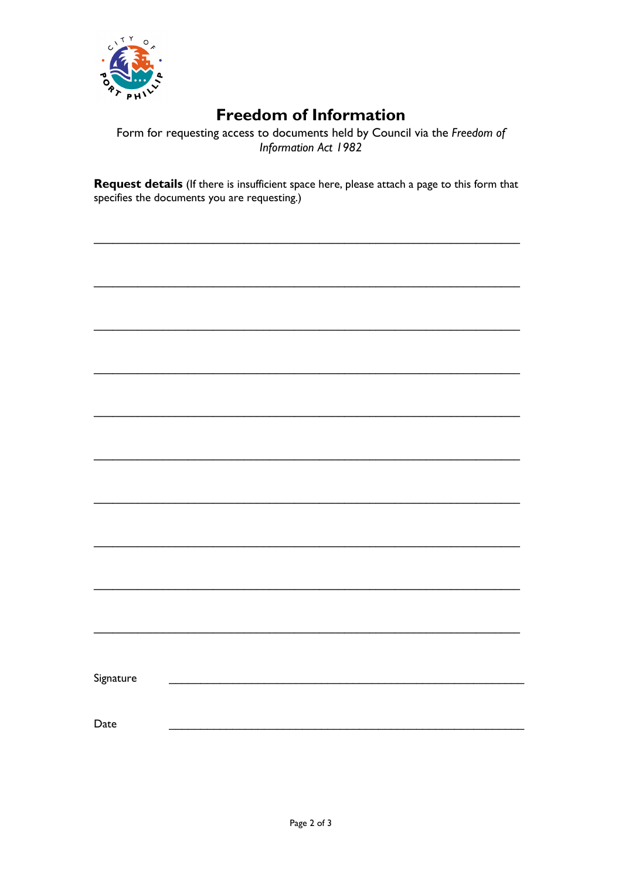

# **Freedom of Information**

Form for requesting access to documents held by Council via the Freedom of Information Act 1982

Request details (If there is insufficient space here, please attach a page to this form that specifies the documents you are requesting.)

| Signature |  |  |  |
|-----------|--|--|--|
| Date      |  |  |  |